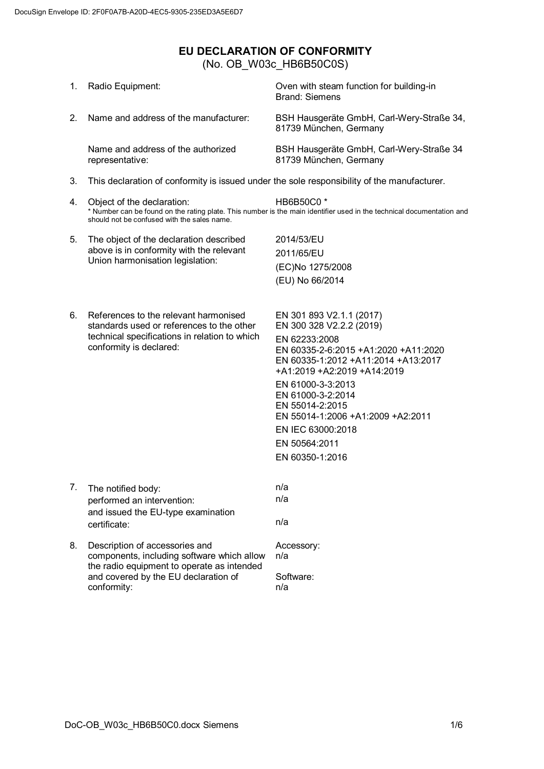## <span id="page-0-0"></span>**EU DECLARATION OF CONFORMITY** (No. OB\_W03c\_HB6B50C0S)

| 1.      | Radio Equipment:                                                                                                                                                                  | Oven with steam function for building-in<br><b>Brand: Siemens</b>                                                                                                                                                                                                                                                                              |  |  |
|---------|-----------------------------------------------------------------------------------------------------------------------------------------------------------------------------------|------------------------------------------------------------------------------------------------------------------------------------------------------------------------------------------------------------------------------------------------------------------------------------------------------------------------------------------------|--|--|
| $2_{1}$ | Name and address of the manufacturer:                                                                                                                                             | BSH Hausgeräte GmbH, Carl-Wery-Straße 34,<br>81739 München, Germany                                                                                                                                                                                                                                                                            |  |  |
|         | Name and address of the authorized<br>representative:                                                                                                                             | BSH Hausgeräte GmbH, Carl-Wery-Straße 34<br>81739 München, Germany                                                                                                                                                                                                                                                                             |  |  |
| 3.      | This declaration of conformity is issued under the sole responsibility of the manufacturer.                                                                                       |                                                                                                                                                                                                                                                                                                                                                |  |  |
| 4.      | Object of the declaration:<br>should not be confused with the sales name.                                                                                                         | HB6B50C0 *<br>* Number can be found on the rating plate. This number is the main identifier used in the technical documentation and                                                                                                                                                                                                            |  |  |
| 5.      | The object of the declaration described<br>above is in conformity with the relevant<br>Union harmonisation legislation:                                                           | 2014/53/EU<br>2011/65/EU<br>(EC)No 1275/2008<br>(EU) No 66/2014                                                                                                                                                                                                                                                                                |  |  |
| 6.      | References to the relevant harmonised<br>standards used or references to the other<br>technical specifications in relation to which<br>conformity is declared:                    | EN 301 893 V2.1.1 (2017)<br>EN 300 328 V2.2.2 (2019)<br>EN 62233:2008<br>EN 60335-2-6:2015 +A1:2020 +A11:2020<br>EN 60335-1:2012 +A11:2014 +A13:2017<br>+A1:2019 +A2:2019 +A14:2019<br>EN 61000-3-3:2013<br>EN 61000-3-2:2014<br>EN 55014-2:2015<br>EN 55014-1:2006 +A1:2009 +A2:2011<br>EN IEC 63000:2018<br>EN 50564:2011<br>EN 60350-1:2016 |  |  |
| 7.      | The notified body:<br>performed an intervention:<br>and issued the EU-type examination<br>certificate:                                                                            | n/a<br>n/a<br>n/a                                                                                                                                                                                                                                                                                                                              |  |  |
| 8.      | Description of accessories and<br>components, including software which allow<br>the radio equipment to operate as intended<br>and covered by the EU declaration of<br>conformity: | Accessory:<br>n/a<br>Software:<br>n/a                                                                                                                                                                                                                                                                                                          |  |  |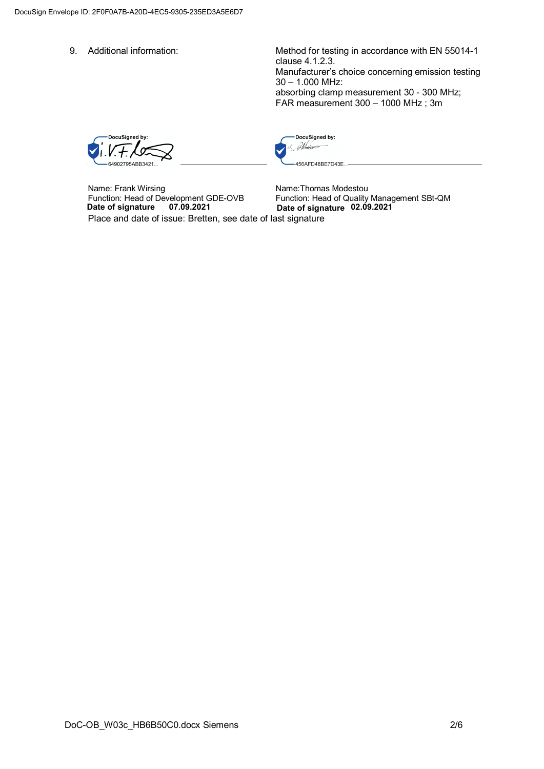9. Additional information: Method for testing in accordance with EN 55014-1 clause 4.1.2.3. Manufacturer's choice concerning emission testing 30 – 1.000 MHz: absorbing clamp measurement 30 - 300 MHz; FAR measurement 300 – 1000 MHz ; 3m

DocuSigned by:  $V.t. \triangle$ 



Name: Frank Wirsing Function: Head of Development GDE-OVB **Date of signature 07.09.2021 Date of signature 02.09.2021**

Name:Thomas Modestou Function: Head of Quality Management SBt-QM<br>Date of signature 02.09.2021

Place and date of issue: Bretten, see date of last signature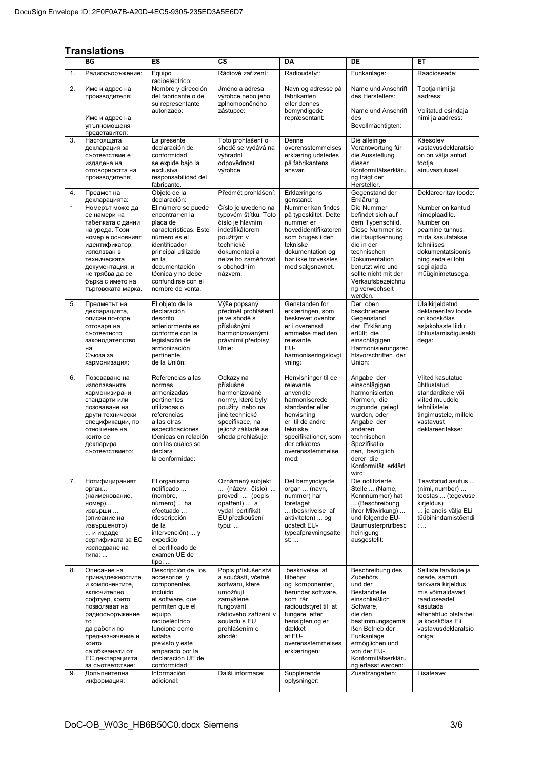## **Translations**

|          | <b>CS</b><br>BG<br>ES                                                                                                                                                                                                                                |                                                                                                                                                                                                                                                        | DA<br>DE<br>ET                                                                                                                                                                            |                                                                                                                                                                                                                    |                                                                                                                                                                                                                                                        |                                                                                                                                                                                                         |
|----------|------------------------------------------------------------------------------------------------------------------------------------------------------------------------------------------------------------------------------------------------------|--------------------------------------------------------------------------------------------------------------------------------------------------------------------------------------------------------------------------------------------------------|-------------------------------------------------------------------------------------------------------------------------------------------------------------------------------------------|--------------------------------------------------------------------------------------------------------------------------------------------------------------------------------------------------------------------|--------------------------------------------------------------------------------------------------------------------------------------------------------------------------------------------------------------------------------------------------------|---------------------------------------------------------------------------------------------------------------------------------------------------------------------------------------------------------|
| 1.       | Радиосъоръжение:                                                                                                                                                                                                                                     | Equipo<br>radioeléctrico:                                                                                                                                                                                                                              | Rádiové zařízení:                                                                                                                                                                         | Radioudstyr:                                                                                                                                                                                                       | Funkanlage:                                                                                                                                                                                                                                            | Raadioseade:                                                                                                                                                                                            |
| 2.       | Име и адрес на<br>производителя:<br>Име и адрес на<br>упълномощеня                                                                                                                                                                                   | Nombre y dirección<br>del fabricante o de<br>su representante<br>autorizado:                                                                                                                                                                           | Jméno a adresa<br>výrobce nebo jeho<br>zplnomocněného<br>zástupce:                                                                                                                        | Navn og adresse på<br>fabrikanten<br>eller dennes<br>bemyndigede<br>repræsentant:                                                                                                                                  | Name und Anschrift<br>des Herstellers:<br>Name und Anschrift<br>des<br>Bevollmächtigten:                                                                                                                                                               | Tootja nimi ja<br>aadress:<br>Volitatud esindaja<br>nimi ja aadress:                                                                                                                                    |
| 3.       | представител:<br>Настоящата<br>декларация за<br>съответствие е<br>издадена на<br>отговорността на<br>производителя:                                                                                                                                  | La presente<br>declaración de<br>conformidad<br>se expide bajo la<br>exclusiva<br>responsabilidad del<br>fabricante.                                                                                                                                   | Toto prohlášení o<br>shodě se vydává na<br>výhradní<br>odpovědnost<br>výrobce.                                                                                                            | Denne<br>overensstemmelses<br>erklæring udstedes<br>på fabrikantens<br>ansvar.                                                                                                                                     | Die alleinige<br>Verantwortung für<br>die Ausstellung<br>dieser<br>Konformitätserkläru<br>ng trägt der<br>Hersteller.                                                                                                                                  | Käesolev<br>vastavusdeklaratsio<br>on on välja antud<br>tootja<br>ainuvastutusel.                                                                                                                       |
| 4.       | Предмет на<br>декларацията:                                                                                                                                                                                                                          | Objeto de la<br>declaración:                                                                                                                                                                                                                           | Předmět prohlášení:                                                                                                                                                                       | Erklæringens<br>qenstand:                                                                                                                                                                                          | Gegenstand der<br>Erklärung:                                                                                                                                                                                                                           | Deklareeritav toode:                                                                                                                                                                                    |
| $\star$  | Номерът може да<br>се намери на<br>табелката с данни<br>на уреда. Този<br>номер е основният<br>идентификатор,<br>използван в<br>техническата<br>документация, и<br>не трябва да се<br>бърка с името на<br>търговската марка.                         | El número se puede<br>encontrar en la<br>placa de<br>características. Este<br>número es el<br>identificador<br>principal utilizado<br>en la<br>documentación<br>técnica y no debe<br>confundirse con el<br>nombre de venta.                            | Číslo je uvedeno na<br>typovém štítku. Toto<br>číslo je hlavním<br>indetifikátorem<br>použitým v<br>technické<br>dokumentaci a<br>nelze ho zaměňovat<br>s obchodním<br>názvem.            | Nummer kan findes<br>på typeskiltet. Dette<br>nummer er<br>hovedidentifikatoren<br>som bruges i den<br>tekniske<br>dokumentation og<br>bør ikke forveksles<br>med salgsnavnet.                                     | Die Nummer<br>befindet sich auf<br>dem Typenschild.<br>Diese Nummer ist<br>die Hauptkennung,<br>die in der<br>technischen<br>Dokumentation<br>benutzt wird und<br>sollte nicht mit der<br>Verkaufsbezeichnu<br>ng verwechselt<br>werden.               | Number on kantud<br>nimeplaadile.<br>Number on<br>peamine tunnus,<br>mida kasutatakse<br>tehnilises<br>dokumentatsioonis<br>ning seda ei tohi<br>segi ajada<br>müüginimetusega.                         |
| 5.       | Предметът на<br>декларацията,<br>описан по-горе,<br>отговаря на<br>съответното<br>законодателство<br>на<br>Съюза за<br>хармонизация:                                                                                                                 | El objeto de la<br>declaración<br>descrito<br>anteriormente es<br>conforme con la<br>legislación de<br>armonización<br>pertinente<br>de la Unión:                                                                                                      | Výše popsaný<br>předmět prohlášení<br>je ve shodě s<br>příslušnými<br>harmonizovanými<br>právními předpisy<br>Unie:                                                                       | Genstanden for<br>erklæringen, som<br>beskrevet ovenfor,<br>er i overensst<br>emmelse med den<br>relevante<br>EU-<br>harmoniseringslovgi<br>vning:                                                                 | Der oben<br>beschriebene<br>Gegenstand<br>der Erklärung<br>erfüllt die<br>einschlägigen<br>Harmonisierungsrec<br>htsvorschriften der<br>Union:                                                                                                         | Ülalkirjeldatud<br>deklareeritav toode<br>on kooskõlas<br>asjakohaste liidu<br>ühtlustamisõigusakti<br>dega:                                                                                            |
| 6.       | Позоваване на<br>използваните<br>хармонизирани<br>стандарти или<br>позоваване на<br>други технически<br>спецификации, по<br>отношение на<br>които се<br>декларира<br>съответствието:                                                                 | Referencias a las<br>normas<br>armonizadas<br>pertinentes<br>utilizadas o<br>referencias<br>a las otras<br>especificaciones<br>técnicas en relación<br>con las cuales se<br>declara<br>la conformidad:                                                 | Odkazy na<br>příslušné<br>harmonizované<br>normy, které byly<br>použity, nebo na<br>jiné technické<br>specifikace, na<br>jejichž základě se<br>shoda prohlašuje:                          | Henvisninger til de<br>relevante<br>anvendte<br>harmoniserede<br>standarder eller<br>henvisning<br>er til de andre<br>tekniske<br>specifikationer, som<br>der erklæres<br>overensstemmelse<br>med:                 | Angabe der<br>einschlägigen<br>harmonisierten<br>Normen, die<br>zugrunde gelegt<br>wurden, oder<br>Angabe der<br>anderen<br>technischen<br>Spezifikatio<br>nen, bezüglich<br>derer die<br>Konformität erklärt<br>wird:                                 | Viited kasutatud<br>ühtlustatud<br>standarditele või<br>viited muudele<br>tehnilistele<br>tingimustele, millele<br>vastavust<br>deklareeritakse:                                                        |
| 7.       | Нотифицираният<br>орган<br>(наименование,<br>номер)<br>извърши<br>(описание на<br>извършеното)<br>и издаде<br>сертификата за ЕС<br>изследване на<br>типа:                                                                                            | El organismo<br>notificado<br>(nombre,<br>número)  ha<br>efectuado<br>(descripción<br>de la<br>intervención)  y<br>expedido<br>el certificado de<br>examen UE de<br>tipo:                                                                              | Oznámený subjekt<br>(název, číslo)<br>provedl  (popis<br>opatření)  a<br>vydal certifikát<br>EU přezkoušení<br>typu:                                                                      | Det bemyndigede<br>organ  (navn,<br>nummer) har<br>foretaget<br>(beskrivelse af<br>aktiviteten)  og<br>udstedt EU-<br>typeafprøvningsatte<br>st:                                                                   | Die notifizierte<br>Stelle  (Name,<br>Kennnummer) hat<br>(Beschreibung<br>ihrer Mitwirkung)<br>und folgende EU-<br>Baumusterprüfbesc<br>heinigung<br>ausgestellt:                                                                                      | Teavitatud asutus<br>$(nimi, number)$<br>teostas  (tegevuse<br>kirjeldus)<br>ja andis välja ELi<br>tüübihindamistõendi<br>$\mathbb{Z}_{\geq 0}$                                                         |
| 8.<br>9. | Описание на<br>принадлежностите<br>и компонентите,<br>включително<br>софтуер, които<br>позволяват на<br>радиосъоръжение<br>TO<br>да работи по<br>предназначение и<br>КОИТО<br>са обхванати от<br>ЕС декларацията<br>за съответствие:<br>Допълнителна | Descripción de los<br>accesorios y<br>componentes,<br>incluido<br>el software, que<br>permiten que el<br>equipo<br>radioeléctrico<br>funcione como<br>estaba<br>previsto y esté<br>amparado por la<br>declaración UE de<br>conformidad:<br>Información | Popis příslušenství<br>a součástí, včetně<br>softwaru, které<br>umožňují<br>zamýšlené<br>fungování<br>rádiového zařízení v<br>souladu s EU<br>prohlášením o<br>shodě:<br>Další informace: | beskrivelse af<br>tilbehør<br>og komponenter,<br>herunder software,<br>som får<br>radioudstyret til at<br>fungere efter<br>hensigten og er<br>dækket<br>af EU-<br>overensstemmelses<br>erklæringen:<br>Supplerende | Beschreibung des<br>Zubehörs<br>und der<br>Bestandteile<br>einschließlich<br>Software,<br>die den<br>bestimmungsgemä<br>ßen Betrieb der<br>Funkanlage<br>ermöglichen und<br>von der EU-<br>Konformitätserkläru<br>ng erfasst werden:<br>Zusatzangaben: | Selliste tarvikute ja<br>osade, samuti<br>tarkvara kirjeldus,<br>mis võimaldavad<br>raadioseadet<br>kasutada<br>ettenähtud otstarbel<br>ja kooskõlas Eli<br>vastavusdeklaratsio<br>oniga:<br>Lisateave: |
|          | информация:                                                                                                                                                                                                                                          | adicional:                                                                                                                                                                                                                                             |                                                                                                                                                                                           | oplysninger:                                                                                                                                                                                                       |                                                                                                                                                                                                                                                        |                                                                                                                                                                                                         |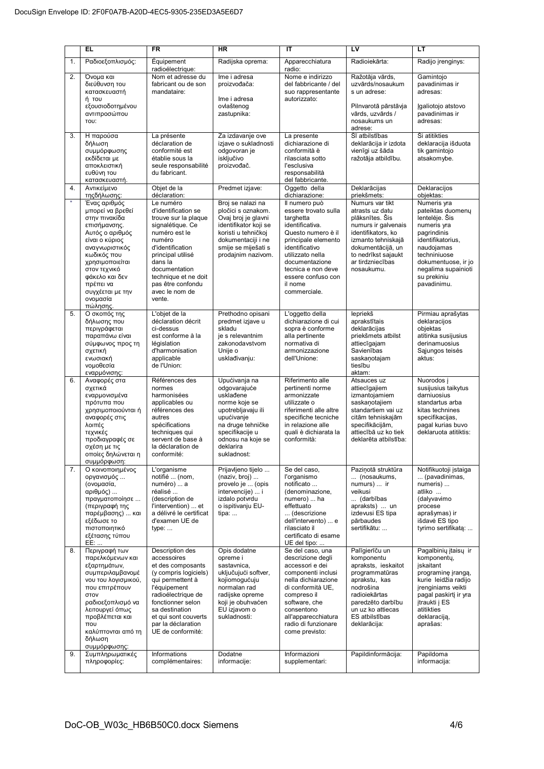|               | <b>EL</b>                                                                                                                                                                                                                                                    | <b>FR</b>                                                                                                                                                                                                                                                        | <b>HR</b>                                                                                                                                                                                | IT                                                                                                                                                                                                                                                       | LV                                                                                                                                                                                                                     | LT                                                                                                                                                                                                                    |
|---------------|--------------------------------------------------------------------------------------------------------------------------------------------------------------------------------------------------------------------------------------------------------------|------------------------------------------------------------------------------------------------------------------------------------------------------------------------------------------------------------------------------------------------------------------|------------------------------------------------------------------------------------------------------------------------------------------------------------------------------------------|----------------------------------------------------------------------------------------------------------------------------------------------------------------------------------------------------------------------------------------------------------|------------------------------------------------------------------------------------------------------------------------------------------------------------------------------------------------------------------------|-----------------------------------------------------------------------------------------------------------------------------------------------------------------------------------------------------------------------|
| 1.            | Ραδιοεξοπλισμός:                                                                                                                                                                                                                                             | Équipement<br>radioélectrique:                                                                                                                                                                                                                                   | Radijska oprema:                                                                                                                                                                         | Apparecchiatura<br>radio:                                                                                                                                                                                                                                | Radioiekārta:                                                                                                                                                                                                          | Radijo įrenginys:                                                                                                                                                                                                     |
| 2.            | Όνομα και<br>διεύθυνση του<br>κατασκευαστή<br>ή του<br>εξουσιοδοτημένου<br>αντιπροσώπου<br>:UOT                                                                                                                                                              | Nom et adresse du<br>fabricant ou de son<br>mandataire:                                                                                                                                                                                                          | Ime i adresa<br>proizvođača:<br>Ime i adresa<br>ovlaštenog<br>zastupnika:                                                                                                                | Nome e indirizzo<br>del fabbricante / del<br>suo rappresentante<br>autorizzato:                                                                                                                                                                          | Ražotāja vārds,<br>uzvārds/nosaukum<br>s un adrese:<br>Pilnvarotā pārstāvja<br>vārds, uzvārds /<br>nosaukums un<br>adrese:                                                                                             | Gamintojo<br>pavadinimas ir<br>adresas:<br>Igaliotojo atstovo<br>pavadinimas ir<br>adresas:                                                                                                                           |
| 3.            | Η παρούσα<br>δήλωση<br>συμμόρφωσης<br>εκδίδεται με<br>αποκλειστική<br>ευθύνη του<br>κατασκευαστή.                                                                                                                                                            | La présente<br>déclaration de<br>conformité est<br>établie sous la<br>seule responsabilité<br>du fabricant.                                                                                                                                                      | Za izdavanje ove<br>izjave o sukladnosti<br>odgovoran je<br>isključivo<br>proizvođač.                                                                                                    | La presente<br>dichiarazione di<br>conformità è<br>rilasciata sotto<br>l'esclusiva<br>responsabilità<br>del fabbricante.                                                                                                                                 | Šī atbilstības<br>deklarācija ir izdota<br>vienīgi uz šāda<br>ražotāja atbildību.                                                                                                                                      | Ši atitikties<br>deklaracija išduota<br>tik gamintojo<br>atsakomybe.                                                                                                                                                  |
| 4.            | Αντικείμενο<br>τηςδήλωσης:                                                                                                                                                                                                                                   | Objet de la<br>déclaration:                                                                                                                                                                                                                                      | Predmet izjave:                                                                                                                                                                          | Oggetto della<br>dichiarazione:                                                                                                                                                                                                                          | Deklarācijas<br>priekšmets:                                                                                                                                                                                            | Deklaracijos<br>objektas:                                                                                                                                                                                             |
| $\pmb{\star}$ | Ένας αριθμός<br>μπορεί να βρεθεί<br>στην πινακίδα<br>επισήμανσης.<br>Αυτός ο αριθμός<br>είναι ο κύριος<br>αναγνωριστικός<br>κωδικός που<br>χρησιμοποιείται<br>στον τεχνικό<br>φάκελο και δεν<br>πρέπει να<br>συγχέεται με την<br>ονομασία<br>πώλησης.        | Le numéro<br>d'identification se<br>trouve sur la plaque<br>signalétique. Ce<br>numéro est le<br>numéro<br>d'identification<br>principal utilisé<br>dans la<br>documentation<br>technique et ne doit<br>pas être confondu<br>avec le nom de<br>vente.            | Broj se nalazi na<br>pločici s oznakom.<br>Ovaj broj je glavni<br>identifikator koji se<br>koristi u tehničkoj<br>dokumentaciji i ne<br>smije se miješati s<br>prodajnim nazivom.        | Il numero può<br>essere trovato sulla<br>targhetta<br>identificativa.<br>Questo numero è il<br>principale elemento<br>identificativo<br>utilizzato nella<br>documentazione<br>tecnica e non deve<br>essere confuso con<br>il nome<br>commerciale.        | Numurs var tikt<br>atrasts uz datu<br>plāksnītes. Šis<br>numurs ir galvenais<br>identifikators, ko<br>izmanto tehniskajā<br>dokumentācijā, un<br>to nedrīkst sajaukt<br>ar tirdzniecības<br>nosaukumu.                 | Numeris yra<br>pateiktas duomenų<br>lentelėje. Šis<br>numeris yra<br>pagrindinis<br>identifikatorius.<br>naudojamas<br>techniniuose<br>dokumentuose, ir jo<br>negalima supainioti<br>su prekiniu<br>pavadinimu.       |
| 5.            | Ο σκοπός της<br>δήλωσης που<br>περιγράφεται<br>παραπάνω είναι<br>σύμφωνος προς τη<br>σχετική<br>ενωσιακή<br>νομοθεσία<br>εναρμόνισης:                                                                                                                        | L'objet de la<br>déclaration décrit<br>ci-dessus<br>est conforme à la<br>législation<br>d'harmonisation<br>applicable<br>de l'Union:                                                                                                                             | Prethodno opisani<br>predmet izjave u<br>skladu<br>je s relevantnim<br>zakonodavstvom<br>Unije o<br>usklađivanju:                                                                        | L'oggetto della<br>dichiarazione di cui<br>sopra è conforme<br>alla pertinente<br>normativa di<br>armonizzazione<br>dell'Unione:                                                                                                                         | lepriekš<br>aprakstītais<br>deklarācijas<br>priekšmets atbilst<br>attiecīgajam<br>Savienības<br>saskanotajam<br>tiesību<br>aktam:                                                                                      | Pirmiau aprašytas<br>deklaracijos<br>objektas<br>atitinka susijusius<br>derinamuosius<br>Sąjungos teisės<br>aktus:                                                                                                    |
| 6.            | Αναφορές στα<br>σχετικά<br>εναρμονισμένα<br>πρότυπα που<br>χρησιμοποιούνται ή<br>αναφορές στις<br>λοιπές<br>τεχνικές<br>προδιαγραφές σε<br>σχέση με τις<br>οποίες δηλώνεται η<br>συμμόρφωση:                                                                 | Références des<br>normes<br>harmonisées<br>applicables ou<br>références des<br>autres<br>spécifications<br>techniques qui<br>servent de base à<br>la déclaration de<br>conformité:                                                                               | Upućivanja na<br>odgovarajuće<br>usklađene<br>norme koje se<br>upotrebljavaju ili<br>upućivanje<br>na druge tehničke<br>specifikacije u<br>odnosu na koje se<br>deklarira<br>sukladnost: | Riferimento alle<br>pertinenti norme<br>armonizzate<br>utilizzate o<br>riferimenti alle altre<br>specifiche tecniche<br>in relazione alle<br>quali è dichiarata la<br>conformità:                                                                        | Atsauces uz<br>attiecīgajiem<br>izmantojamiem<br>saskanotajiem<br>standartiem vai uz<br>citām tehniskajām<br>specifikācijām,<br>attiecībā uz ko tiek<br>deklarēta atbilstība:                                          | Nuorodos j<br>susijusius taikytus<br>darniuosius<br>standartus arba<br>kitas technines<br>specifikacijas,<br>pagal kurias buvo<br>deklaruota atitiktis:                                                               |
| 7.            | Ο κοινοποιημένος<br>οργανισμός<br>(ονομασία,<br>αριθμός)<br>πραγματοποίησε<br>(περιγραφή της<br>παρέμβασης)  και<br>εξέδωσε το<br>πιστοποιητικό<br>εξέτασης τύπου<br>EE:                                                                                     | L'organisme<br>notifié  (nom,<br>numéro)  a<br>réalisé<br>(description de<br>l'intervention)  et<br>a délivré le certificat<br>d'examen UE de<br>type:                                                                                                           | Prijavljeno tijelo<br>(naziv, broj)<br>provelo je  (opis<br>intervencije)  i<br>izdalo potvrdu<br>o ispitivanju EU-<br>tipa:                                                             | Se del caso,<br>l'organismo<br>notificato<br>(denominazione,<br>numero)  ha<br>effettuato<br>(descrizione<br>dell'intervento)  e<br>rilasciato il<br>certificato di esame<br>UE del tipo:                                                                | Paziņotā struktūra<br>(nosaukums,<br>numurs)  ir<br>veikusi<br>(darbības<br>apraksts)  un<br>izdevusi ES tipa<br>pārbaudes<br>sertifikātu:                                                                             | Notifikuotoji įstaiga<br>(pavadinimas,<br>numeris)<br>atliko<br>(dalyvavimo<br>procese<br>aprašymas) ir<br>išdavė ES tipo<br>tyrimo sertifikatą:                                                                      |
| 8.<br>9.      | Περιγραφή των<br>παρελκόμενων και<br>εξαρτημάτων,<br>συμπεριλαμβανομέ<br>νου του λογισμικού,<br>που επιτρέπουν<br>στον<br>ραδιοεξοπλισμό να<br>λειτουργεί όπως<br>προβλέπεται και<br>TTOU<br>καλύπτονται από τη<br>δήλωση<br>συμμόρφωσης:<br>Συμπληρωματικές | Description des<br>accessoires<br>et des composants<br>(y compris logiciels)<br>qui permettent à<br>l'équipement<br>radioélectrique de<br>fonctionner selon<br>sa destination<br>et qui sont couverts<br>par la déclaration<br>UE de conformité:<br>Informations | Opis dodatne<br>opreme i<br>sastavnica,<br>uključujući softver,<br>kojiomogućuju<br>normalan rad<br>radijske opreme<br>koji je obuhvaćen<br>EU izjavom o<br>sukladnosti:<br>Dodatne      | Se del caso, una<br>descrizione degli<br>accessori e dei<br>componenti inclusi<br>nella dichiarazione<br>di conformità UE,<br>compreso il<br>software, che<br>consentono<br>all'apparecchiatura<br>radio di funzionare<br>come previsto:<br>Informazioni | Palīgierīču un<br>komponentu<br>apraksts, ieskaitot<br>programmatūras<br>aprakstu, kas<br>nodrošina<br>radioiekārtas<br>paredzēto darbību<br>un uz ko attiecas<br>ES atbilstības<br>deklarācija:<br>Papildinformācija: | Pagalbiniu itaisu ir<br>komponenty,<br>iskaitant<br>programinę įrangą,<br>kurie leidžia radijo<br>jrenginiams veikti<br>pagal paskirti ir yra<br>jtraukti j ES<br>atitikties<br>deklaraciją,<br>aprašas:<br>Papildoma |
|               | πληροφορίες:                                                                                                                                                                                                                                                 | complémentaires:                                                                                                                                                                                                                                                 | informacije:                                                                                                                                                                             | supplementari:                                                                                                                                                                                                                                           |                                                                                                                                                                                                                        | informacija:                                                                                                                                                                                                          |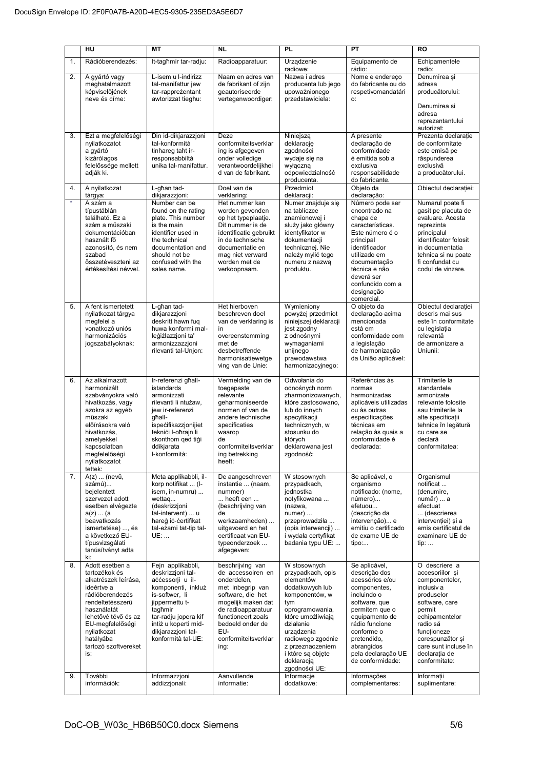|          | HU                                                                                                                                                                                                                                            | <b>MT</b>                                                                                                                                                                                                                                    | <b>NL</b>                                                                                                                                                                                                                                 | <b>PL</b>                                                                                                                                                                                                                                                                | PT                                                                                                                                                                                                                                                          | <b>RO</b>                                                                                                                                                                                                                                           |
|----------|-----------------------------------------------------------------------------------------------------------------------------------------------------------------------------------------------------------------------------------------------|----------------------------------------------------------------------------------------------------------------------------------------------------------------------------------------------------------------------------------------------|-------------------------------------------------------------------------------------------------------------------------------------------------------------------------------------------------------------------------------------------|--------------------------------------------------------------------------------------------------------------------------------------------------------------------------------------------------------------------------------------------------------------------------|-------------------------------------------------------------------------------------------------------------------------------------------------------------------------------------------------------------------------------------------------------------|-----------------------------------------------------------------------------------------------------------------------------------------------------------------------------------------------------------------------------------------------------|
| 1.       | Rádióberendezés:                                                                                                                                                                                                                              | It-tagħmir tar-radju:                                                                                                                                                                                                                        | Radioapparatuur:                                                                                                                                                                                                                          | Urządzenie<br>radiowe:                                                                                                                                                                                                                                                   | Equipamento de<br>rádio:                                                                                                                                                                                                                                    | Echipamentele<br>radio:                                                                                                                                                                                                                             |
| 2.       | A gyártó vagy<br>meghatalmazott<br>képviselőjének<br>neve és címe:                                                                                                                                                                            | L-isem u l-indirizz<br>tal-manifattur jew<br>tar-rappreżentant<br>awtorizzat tiegħu:                                                                                                                                                         | Naam en adres van<br>de fabrikant of zijn<br>geautoriseerde<br>vertegenwoordiger:                                                                                                                                                         | Nazwa i adres<br>producenta lub jego<br>upoważnionego<br>przedstawiciela:                                                                                                                                                                                                | Nome e endereço<br>do fabricante ou do<br>respetivomandatári<br>O.                                                                                                                                                                                          | Denumirea și<br>adresa<br>producătorului:<br>Denumirea si<br>adresa<br>reprezentantului<br>autorizat:                                                                                                                                               |
| 3.       | Ezt a megfelelőségi<br>nyilatkozatot<br>a gyártó<br>kizárólagos<br>felelőssége mellett<br>adják ki.                                                                                                                                           | Din id-dikjarazzjoni<br>tal-konformità<br>tinhareg taht ir-<br>responsabbiltà<br>unika tal-manifattur.                                                                                                                                       | Deze<br>conformiteitsverklar<br>ing is afgegeven<br>onder volledige<br>verantwoordelijkhei<br>d van de fabrikant.                                                                                                                         | Niniejszą<br>deklarację<br>zgodności<br>wydaje się na<br>wyłączną<br>odpowiedzialność<br>producenta.                                                                                                                                                                     | A presente<br>declaração de<br>conformidade<br>é emitida sob a<br>exclusiva<br>responsabilidade<br>do fabricante.                                                                                                                                           | Prezenta declarație<br>de conformitate<br>este emisă pe<br>răspunderea<br>exclusivă<br>a producătorului.                                                                                                                                            |
| 4.       | A nyilatkozat<br>tárgya:                                                                                                                                                                                                                      | L-għan tad-<br>dikjarazzjoni:                                                                                                                                                                                                                | Doel van de<br>verklaring:                                                                                                                                                                                                                | Przedmiot<br>deklaracji:                                                                                                                                                                                                                                                 | Objeto da<br>declaração:                                                                                                                                                                                                                                    | Obiectul declarației:                                                                                                                                                                                                                               |
| $\star$  | A szám a<br>típustáblán<br>található. Ez a<br>szám a műszaki<br>dokumentációban<br>használt fő<br>azonosító, és nem<br>szabad<br>összetéveszteni az<br>értékesítési névvel.                                                                   | Number can be<br>found on the rating<br>plate. This number<br>is the main<br>identifier used in<br>the technical<br>documentation and<br>should not be<br>confused with the<br>sales name.                                                   | Het nummer kan<br>worden gevonden<br>op het typeplaatje.<br>Dit nummer is de<br>identificatie gebruikt<br>in de technische<br>documentatie en<br>mag niet verward<br>worden met de<br>verkoopnaam.                                        | Numer znajduje się<br>na tabliczce<br>znamionowej i<br>służy jako główny<br>identyfikator w<br>dokumentacji<br>technicznej. Nie<br>należy mylić tego<br>numeru z nazwą<br>produktu.                                                                                      | Número pode ser<br>encontrado na<br>chapa de<br>características.<br>Este número é o<br>principal<br>identificador<br>utilizado em<br>documentação<br>técnica e não<br>deverá ser<br>confundido com a<br>designação<br>comercial.                            | Numarul poate fi<br>gasit pe placuta de<br>evaluare. Acesta<br>reprezinta<br>principalul<br>identificator folosit<br>in documentatia<br>tehnica si nu poate<br>fi confundat cu<br>codul de vinzare.                                                 |
| 5.       | A fent ismertetett<br>nyilatkozat tárgya<br>megfelel a<br>vonatkozó uniós<br>harmonizációs<br>jogszabályoknak:                                                                                                                                | L-għan tad-<br>dikjarazzjoni<br>deskritt hawn fug<br>huwa konformi mal-<br>leģiżlazzjoni ta'<br>armonizzazzjoni<br>rilevanti tal-Unjon:                                                                                                      | Het hierboven<br>beschreven doel<br>van de verklaring is<br>in<br>overeenstemming<br>met de<br>desbetreffende<br>harmonisatiewetge<br>ving van de Unie:                                                                                   | Wymieniony<br>powyżej przedmiot<br>niniejszej deklaracji<br>jest zgodny<br>z odnośnymi<br>wymaganiami<br>unijnego<br>prawodawstwa<br>harmonizacyjnego:                                                                                                                   | O objeto da<br>declaração acima<br>mencionada<br>está em<br>conformidade com<br>a legislação<br>de harmonização<br>da União aplicável:                                                                                                                      | Obiectul declarației<br>descris mai sus<br>este în conformitate<br>cu legislatia<br>relevantă<br>de armonizare a<br>Uniunii:                                                                                                                        |
| 6.       | Az alkalmazott<br>harmonizált<br>szabványokra való<br>hivatkozás, vagy<br>azokra az egyéb<br>műszaki<br>előírásokra való<br>hivatkozás,<br>amelyekkel<br>kapcsolatban<br>megfelelőségi<br>nyilatkozatot<br>tettek:                            | Ir-referenzi għall-<br>istandards<br>armonizzati<br>rilevanti li ntużaw,<br>jew ir-referenzi<br>qhall-<br>ispecifikazzjonijiet<br>teknići I-oħrajn li<br>skonthom ged tigi<br>ddikjarata<br>I-konformità:                                    | Vermelding van de<br>toegepaste<br>relevante<br>geharmoniseerde<br>normen of van de<br>andere technische<br>specificaties<br>waarop<br>de<br>conformiteitsverklar<br>ing betrekking<br>heeft:                                             | Odwołania do<br>odnośnych norm<br>zharmonizowanych,<br>które zastosowano,<br>lub do innych<br>specyfikacji<br>technicznych, w<br>stosunku do<br>których<br>deklarowana jest<br>zgodność:                                                                                 | Referências às<br>normas<br>harmonizadas<br>aplicáveis utilizadas<br>ou às outras<br>especificações<br>técnicas em<br>relação às quais a<br>conformidade é<br>declarada:                                                                                    | Trimiterile la<br>standardele<br>armonizate<br>relevante folosite<br>sau trimiterile la<br>alte specificații<br>tehnice în legătură<br>cu care se<br>declară<br>conformitatea:                                                                      |
| 7.       | A(z)  (nevű,<br>számú)<br>bejelentett<br>szervezet adott<br>esetben elvégezte<br>a(z)  (a)<br>beavatkozás<br>ismertetése) , és<br>a következő EU-<br>típusvizsgálati<br>tanúsítványt adta<br>ki:                                              | Meta applikabbli, il-<br>korp notifikat  (I-<br>isem, in-numru)<br>wettaq<br>(deskrizzjoni<br>tal-intervent)  u<br>hareg ic-certifikat<br>tal-eżami tat-tip tal-<br>UE:                                                                      | De aangeschreven<br>instantie  (naam,<br>nummer)<br>heeft een<br>(beschrijving van<br>de<br>werkzaamheden)<br>uitgevoerd en het<br>certificaat van EU-<br>typeonderzoek<br>afgegeven:                                                     | W stosownych<br>przypadkach,<br>jednostka<br>notyfikowana<br>(nazwa,<br>numer)<br>przeprowadziła<br>(opis interwencji)<br>i wydała certyfikat<br>badania typu UE:                                                                                                        | Se aplicável, o<br>organismo<br>notificado: (nome,<br>número)<br>efetuou<br>(descrição da<br>intervenção) e<br>emitiu o certificado<br>de exame UE de<br>tipo:                                                                                              | Organismul<br>notificat<br>(denumire.<br>număr)  a<br>efectuat<br>(descrierea<br>interventiei) si a<br>emis certificatul de<br>examinare UE de<br>tip:                                                                                              |
| 8.<br>9. | Adott esetben a<br>tartozékok és<br>alkatrészek leírása,<br>ideértve a<br>rádióberendezés<br>rendeltetésszerű<br>használatát<br>lehetővé tévő és az<br>EU-megfelelőségi<br>nyilatkozat<br>hatályába<br>tartozó szoftvereket<br>is:<br>További | Fejn applikabbli,<br>deskrizzjoni tal-<br>accessorji u il-<br>komponenti, inkluż<br>is-softwer, li<br>jippermettu t-<br>tagħmir<br>tar-radju jopera kif<br>intiż u koperti mid-<br>dikjarazzjoni tal-<br>konformità tal-UE:<br>Informazzjoni | beschrijving van<br>de accessoiren en<br>onderdelen,<br>met inbegrip van<br>software, die het<br>mogelijk maken dat<br>de radioapparatuur<br>functioneert zoals<br>bedoeld onder de<br>EU-<br>conformiteitsverklar<br>ing:<br>Aanvullende | W stosownych<br>przypadkach, opis<br>elementów<br>dodatkowych lub<br>komponentów, w<br>tym<br>oprogramowania,<br>które umożliwiają<br>działanie<br>urządzenia<br>radiowego zgodnie<br>z przeznaczeniem<br>i które są objęte<br>deklaracją<br>zgodności UE:<br>Informacje | Se aplicável,<br>descrição dos<br>acessórios e/ou<br>componentes,<br>incluindo o<br>software, que<br>permitem que o<br>equipamento de<br>rádio funcione<br>conforme o<br>pretendido,<br>abrangidos<br>pela declaração UE<br>de conformidade:<br>Informações | O descriere a<br>accesoriilor si<br>componentelor,<br>inclusiv a<br>produselor<br>software, care<br>permit<br>echipamentelor<br>radio să<br>funcționeze<br>corespunzător și<br>care sunt incluse în<br>declaratia de<br>conformitate:<br>Informatii |
|          | információk:                                                                                                                                                                                                                                  | addizzjonali:                                                                                                                                                                                                                                | informatie:                                                                                                                                                                                                                               | dodatkowe:                                                                                                                                                                                                                                                               | complementares:                                                                                                                                                                                                                                             | suplimentare:                                                                                                                                                                                                                                       |